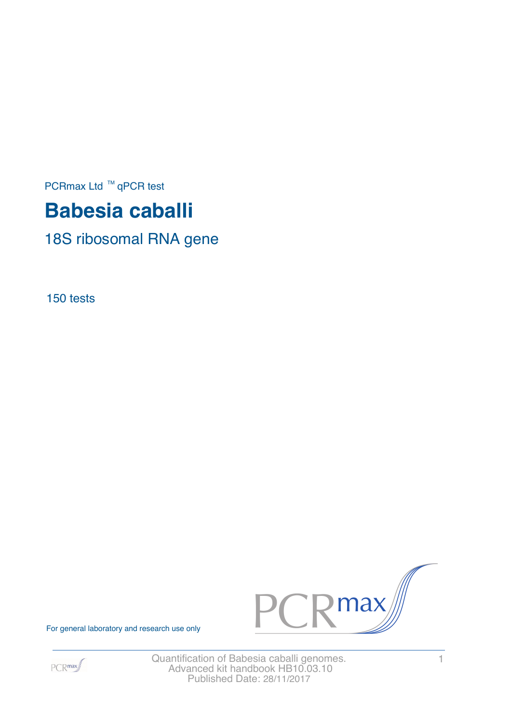PCRmax Ltd  $™$  qPCR test

# **Babesia caballi**

18S ribosomal RNA gene

150 tests



For general laboratory and research use only



Quantification of Babesia caballi genomes. 1 Advanced kit handbook HB10.03.10 Published Date: 28/11/2017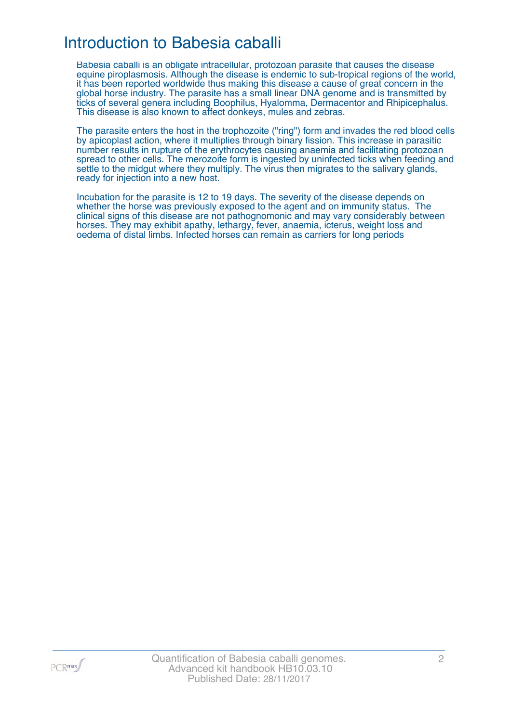### Introduction to Babesia caballi

Babesia caballi is an obligate intracellular, protozoan parasite that causes the disease equine piroplasmosis. Although the disease is endemic to sub-tropical regions of the world, it has been reported worldwide thus making this disease a cause of great concern in the global horse industry. The parasite has a small linear DNA genome and is transmitted by ticks of several genera including Boophilus, Hyalomma, Dermacentor and Rhipicephalus. This disease is also known to affect donkeys, mules and zebras.

The parasite enters the host in the trophozoite ("ring") form and invades the red blood cells by apicoplast action, where it multiplies through binary fission. This increase in parasitic number results in rupture of the erythrocytes causing anaemia and facilitating protozoan spread to other cells. The merozoite form is ingested by uninfected ticks when feeding and settle to the midgut where they multiply. The virus then migrates to the salivary glands, ready for injection into a new host.

Incubation for the parasite is 12 to 19 days. The severity of the disease depends on whether the horse was previously exposed to the agent and on immunity status. The clinical signs of this disease are not pathognomonic and may vary considerably between horses. They may exhibit apathy, lethargy, fever, anaemia, icterus, weight loss and oedema of distal limbs. Infected horses can remain as carriers for long periods

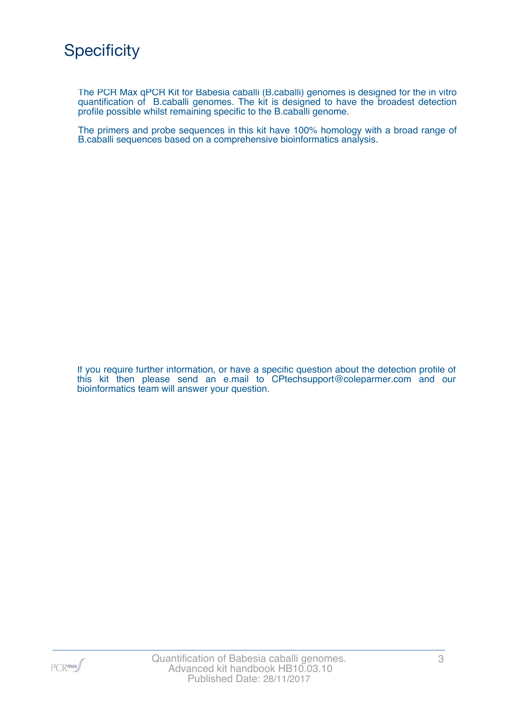The PCR Max qPCR Kit for Babesia caballi (B.caballi) genomes is designed for the in vitro quantification of B.caballi genomes. The kit is designed to have the broadest detection profile possible whilst remaining specific to the B.caballi genome.

The primers and probe sequences in this kit have 100% homology with a broad range of B.caballi sequences based on a comprehensive bioinformatics analysis.

If you require further information, or have a specific question about the detection profile of this kit then please send an e.mail to CPtechsupport@coleparmer.com and our bioinformatics team will answer your question.

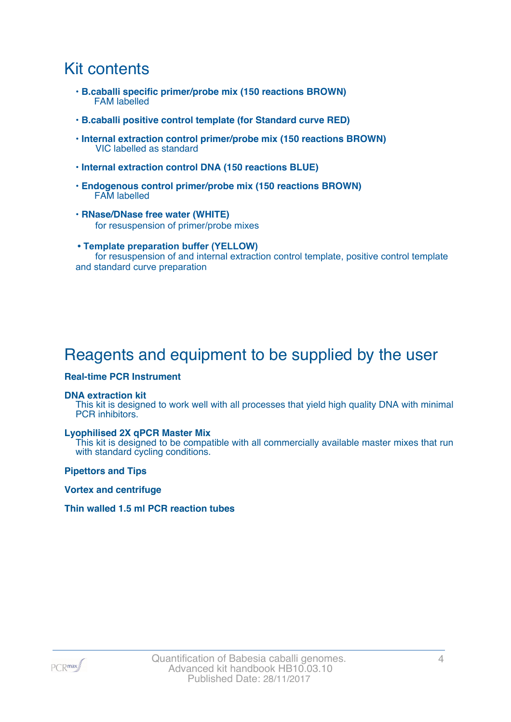### Kit contents

- **B.caballi specific primer/probe mix (150 reactions BROWN)** FAM labelled
- **B.caballi positive control template (for Standard curve RED)**
- **Internal extraction control primer/probe mix (150 reactions BROWN)** VIC labelled as standard
- **Internal extraction control DNA (150 reactions BLUE)**
- **Endogenous control primer/probe mix (150 reactions BROWN)** FAM labelled
- **RNase/DNase free water (WHITE)** for resuspension of primer/probe mixes
- **Template preparation buffer (YELLOW)** for resuspension of and internal extraction control template, positive control template and standard curve preparation

## Reagents and equipment to be supplied by the user

#### **Real-time PCR Instrument**

#### **DNA extraction kit**

This kit is designed to work well with all processes that yield high quality DNA with minimal PCR inhibitors.

#### **Lyophilised 2X qPCR Master Mix**

This kit is designed to be compatible with all commercially available master mixes that run with standard cycling conditions.

**Pipettors and Tips**

**Vortex and centrifuge**

#### **Thin walled 1.5 ml PCR reaction tubes**

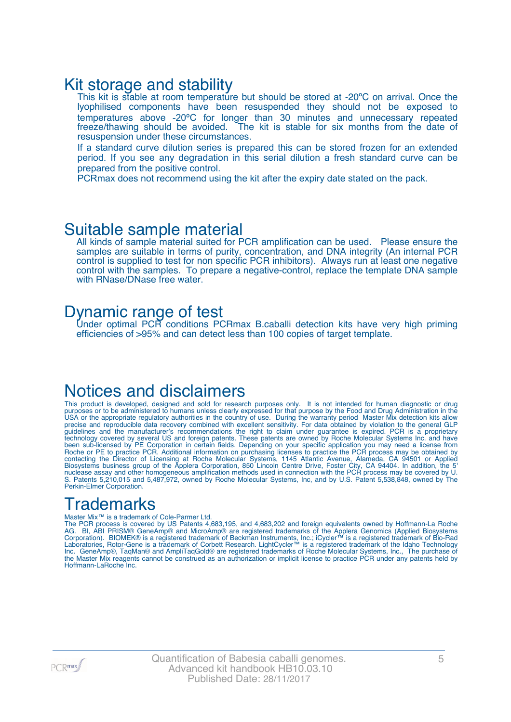### Kit storage and stability

This kit is stable at room temperature but should be stored at -20°C on arrival. Once the lyophilised components have been resuspended they should not be exposed to temperatures above -20ºC for longer than 30 minutes and unnecessary repeated freeze/thawing should be avoided. The kit is stable for six months from the date of resuspension under these circumstances.

If a standard curve dilution series is prepared this can be stored frozen for an extended period. If you see any degradation in this serial dilution a fresh standard curve can be prepared from the positive control.

PCRmax does not recommend using the kit after the expiry date stated on the pack.

### Suitable sample material

All kinds of sample material suited for PCR amplification can be used. Please ensure the samples are suitable in terms of purity, concentration, and DNA integrity (An internal PCR control is supplied to test for non specific PCR inhibitors). Always run at least one negative control with the samples. To prepare a negative-control, replace the template DNA sample with RNase/DNase free water.

### Dynamic range of test

Under optimal PCR conditions PCRmax B.caballi detection kits have very high priming efficiencies of >95% and can detect less than 100 copies of target template.

### Notices and disclaimers

This product is developed, designed and sold for research purposes only. It is not intended for human diagnostic or drug purposes or to be administered to humans unless clearly expressed for that purpose by the Food and Drug Administration in the USA or the appropriate regulatory authorities in the country of use. During the warranty period Master Mix detection kits allow precise and reproducible data recovery combined with excellent sensitivity. For data obtained by violation to the general GLP guidelines and the manufacturer's recommendations the right to claim under guarantee is expired. PCR is a proprietary technology covered by several US and foreign patents. These patents are owned by Roche Molecular Systems Inc. and have been sub-licensed by PE Corporation in certain fields. Depending on your specific application you may need a license from Roche or PE to practice PCR. Additional information on purchasing licenses to practice the PCR process may be obtained by contacting the Director of Licensing at Roche Molecular Systems, 1145 Atlantic Avenue, Alameda, CA 94501 or Applied Biosystems business group of the Applera Corporation, 850 Lincoln Centre Drive, Foster City, CA 94404. In addition, the 5' nuclease assay and other homogeneous amplification methods used in connection with the PCR process may be covered by U. S. Patents 5,210,015 and 5,487,972, owned by Roche Molecular Systems, Inc, and by U.S. Patent 5,538,848, owned by The Perkin-Elmer Corporation.

## **Trademarks**

#### Master Mix™ is a trademark of Cole-Parmer Ltd.

The PCR process is covered by US Patents 4,683,195, and 4,683,202 and foreign equivalents owned by Hoffmann-La Roche AG. BI, ABI PRISM® GeneAmp® and MicroAmp® are registered trademarks of the Applera Genomics (Applied Biosystems Corporation). BIOMEK® is a registered trademark of Beckman Instruments, Inc.; iCycler™ is a registered trademark of Bio-Rad Laboratories, Rotor-Gene is a trademark of Corbett Research. LightCycler™ is a registered trademark of the Idaho Technology Inc. GeneAmp®, TaqMan® and AmpliTaqGold® are registered trademarks of Roche Molecular Systems, Inc., The purchase of the Master Mix reagents cannot be construed as an authorization or implicit license to practice PCR under any patents held by Hoffmann-LaRoche Inc.

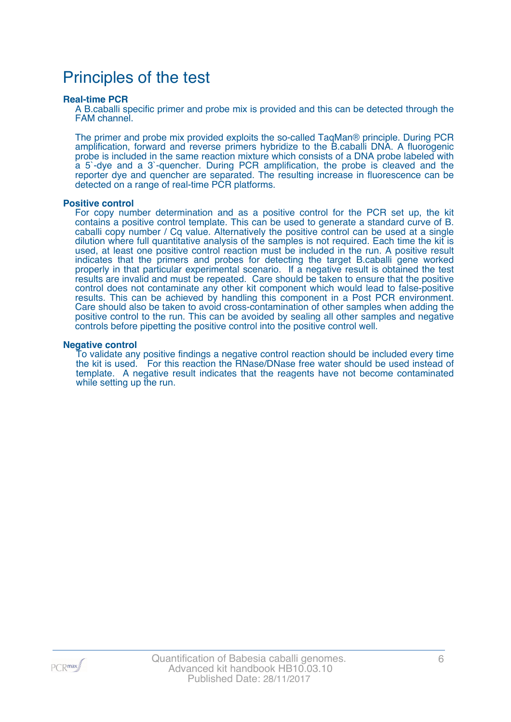### Principles of the test

#### **Real-time PCR**

A B.caballi specific primer and probe mix is provided and this can be detected through the FAM channel.

The primer and probe mix provided exploits the so-called TaqMan® principle. During PCR amplification, forward and reverse primers hybridize to the B.caballi DNA. A fluorogenic probe is included in the same reaction mixture which consists of a DNA probe labeled with a 5`-dye and a 3`-quencher. During PCR amplification, the probe is cleaved and the reporter dye and quencher are separated. The resulting increase in fluorescence can be detected on a range of real-time PCR platforms.

#### **Positive control**

For copy number determination and as a positive control for the PCR set up, the kit contains a positive control template. This can be used to generate a standard curve of B. caballi copy number / Cq value. Alternatively the positive control can be used at a single dilution where full quantitative analysis of the samples is not required. Each time the kit is used, at least one positive control reaction must be included in the run. A positive result indicates that the primers and probes for detecting the target B.caballi gene worked properly in that particular experimental scenario. If a negative result is obtained the test results are invalid and must be repeated. Care should be taken to ensure that the positive control does not contaminate any other kit component which would lead to false-positive results. This can be achieved by handling this component in a Post PCR environment. Care should also be taken to avoid cross-contamination of other samples when adding the positive control to the run. This can be avoided by sealing all other samples and negative controls before pipetting the positive control into the positive control well.

#### **Negative control**

To validate any positive findings a negative control reaction should be included every time the kit is used. For this reaction the RNase/DNase free water should be used instead of template. A negative result indicates that the reagents have not become contaminated while setting up the run.

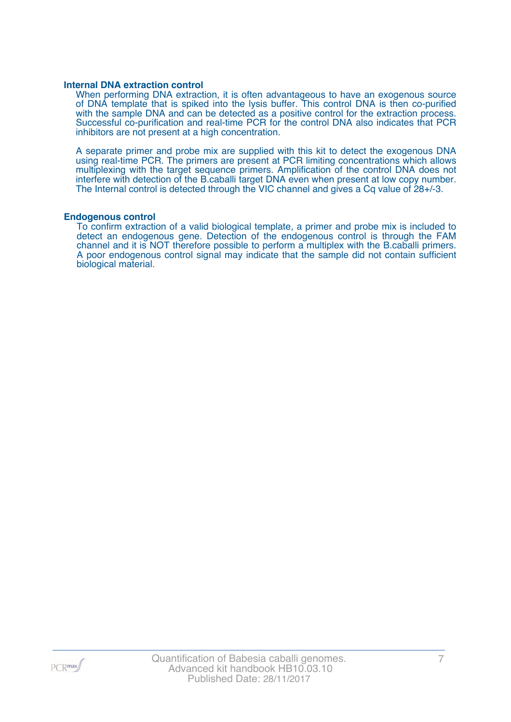#### **Internal DNA extraction control**

When performing DNA extraction, it is often advantageous to have an exogenous source of DNA template that is spiked into the lysis buffer. This control DNA is then co-purified with the sample DNA and can be detected as a positive control for the extraction process. Successful co-purification and real-time PCR for the control DNA also indicates that PCR inhibitors are not present at a high concentration.

A separate primer and probe mix are supplied with this kit to detect the exogenous DNA using real-time PCR. The primers are present at PCR limiting concentrations which allows multiplexing with the target sequence primers. Amplification of the control DNA does not interfere with detection of the B.caballi target DNA even when present at low copy number. The Internal control is detected through the VIC channel and gives a Cq value of 28+/-3.

#### **Endogenous control**

To confirm extraction of a valid biological template, a primer and probe mix is included to detect an endogenous gene. Detection of the endogenous control is through the FAM channel and it is NOT therefore possible to perform a multiplex with the B.caballi primers. A poor endogenous control signal may indicate that the sample did not contain sufficient biological material.

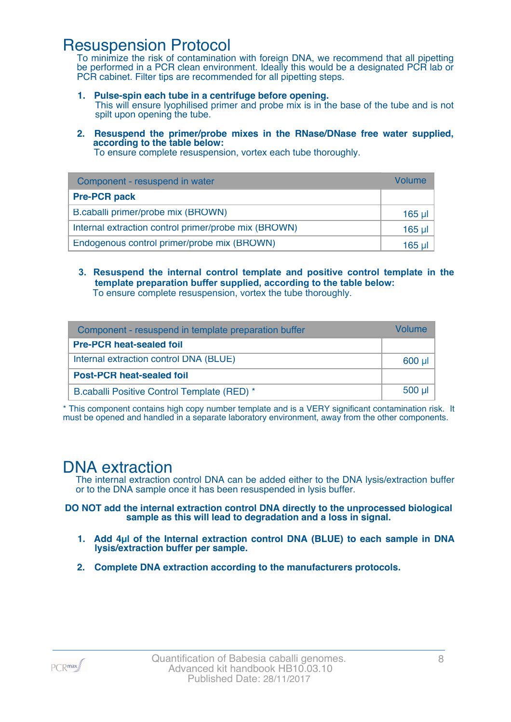### Resuspension Protocol

To minimize the risk of contamination with foreign DNA, we recommend that all pipetting be performed in a PCR clean environment. Ideally this would be a designated PCR lab or PCR cabinet. Filter tips are recommended for all pipetting steps.

- **1. Pulse-spin each tube in a centrifuge before opening.** This will ensure lyophilised primer and probe mix is in the base of the tube and is not spilt upon opening the tube.
- **2. Resuspend the primer/probe mixes in the RNase/DNase free water supplied, according to the table below:**

To ensure complete resuspension, vortex each tube thoroughly.

| Component - resuspend in water                       | Volume  |
|------------------------------------------------------|---------|
| <b>Pre-PCR pack</b>                                  |         |
| B.caballi primer/probe mix (BROWN)                   | 165 µl  |
| Internal extraction control primer/probe mix (BROWN) | $165$ µ |
| Endogenous control primer/probe mix (BROWN)          | 165 ul  |

**3. Resuspend the internal control template and positive control template in the template preparation buffer supplied, according to the table below:** To ensure complete resuspension, vortex the tube thoroughly.

| Component - resuspend in template preparation buffer |          |  |
|------------------------------------------------------|----------|--|
| <b>Pre-PCR heat-sealed foil</b>                      |          |  |
| Internal extraction control DNA (BLUE)               | 600 µl   |  |
| <b>Post-PCR heat-sealed foil</b>                     |          |  |
| B.caballi Positive Control Template (RED) *          | $500$ µl |  |

\* This component contains high copy number template and is a VERY significant contamination risk. It must be opened and handled in a separate laboratory environment, away from the other components.

### DNA extraction

The internal extraction control DNA can be added either to the DNA lysis/extraction buffer or to the DNA sample once it has been resuspended in lysis buffer.

**DO NOT add the internal extraction control DNA directly to the unprocessed biological sample as this will lead to degradation and a loss in signal.**

- **1. Add 4µl of the Internal extraction control DNA (BLUE) to each sample in DNA lysis/extraction buffer per sample.**
- **2. Complete DNA extraction according to the manufacturers protocols.**

PCR<sub>max</sub>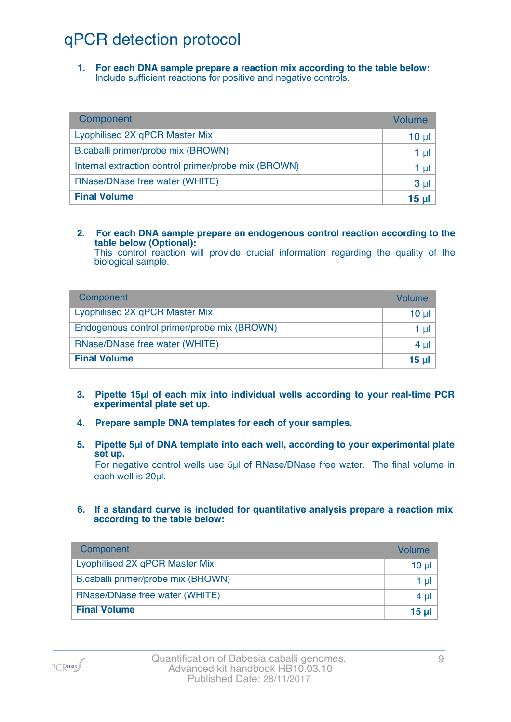## qPCR detection protocol

**1. For each DNA sample prepare a reaction mix according to the table below:** Include sufficient reactions for positive and negative controls.

| Component                                            | Volume          |
|------------------------------------------------------|-----------------|
| Lyophilised 2X qPCR Master Mix                       | 10 <sub>µ</sub> |
| B.caballi primer/probe mix (BROWN)                   | 1 µl            |
| Internal extraction control primer/probe mix (BROWN) | 1 µl            |
| RNase/DNase free water (WHITE)                       | 3 <sub>µ</sub>  |
| <b>Final Volume</b>                                  | 15 <sub>µ</sub> |

#### **2. For each DNA sample prepare an endogenous control reaction according to the table below (Optional):**

This control reaction will provide crucial information regarding the quality of the biological sample.

| Component                                   | Volume       |
|---------------------------------------------|--------------|
| Lyophilised 2X qPCR Master Mix              | 10 ul        |
| Endogenous control primer/probe mix (BROWN) | 1 ul         |
| RNase/DNase free water (WHITE)              | $4 \mu$      |
| <b>Final Volume</b>                         | <u>15 ul</u> |

- **3. Pipette 15µl of each mix into individual wells according to your real-time PCR experimental plate set up.**
- **4. Prepare sample DNA templates for each of your samples.**
- **5. Pipette 5µl of DNA template into each well, according to your experimental plate set up.**

For negative control wells use 5µl of RNase/DNase free water. The final volume in each well is 20ul.

**6. If a standard curve is included for quantitative analysis prepare a reaction mix according to the table below:**

| Component                          | Volume   |
|------------------------------------|----------|
| Lyophilised 2X qPCR Master Mix     | $10 \mu$ |
| B.caballi primer/probe mix (BROWN) | 1 $\mu$  |
| RNase/DNase free water (WHITE)     | 4 $\mu$  |
| <b>Final Volume</b>                | 15 $\mu$ |

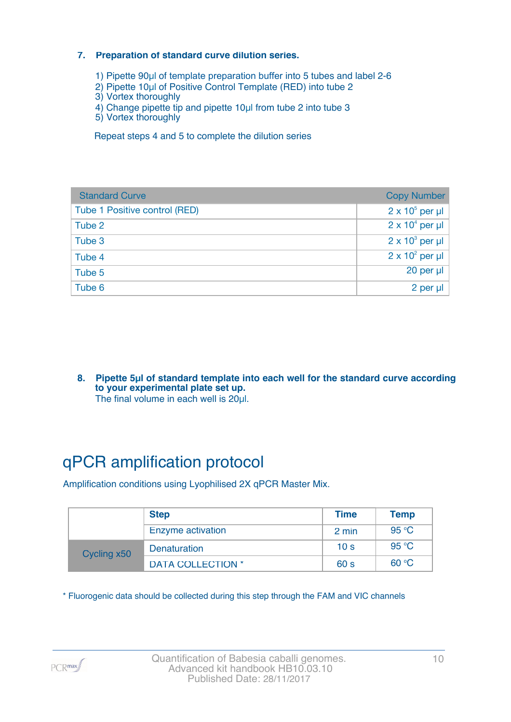#### **7. Preparation of standard curve dilution series.**

- 1) Pipette 90µl of template preparation buffer into 5 tubes and label 2-6
- 2) Pipette 10µl of Positive Control Template (RED) into tube 2
- 3) Vortex thoroughly
- 4) Change pipette tip and pipette 10µl from tube 2 into tube 3
- 5) Vortex thoroughly

Repeat steps 4 and 5 to complete the dilution series

| <b>Standard Curve</b>         | <b>Copy Number</b>     |
|-------------------------------|------------------------|
| Tube 1 Positive control (RED) | $2 \times 10^5$ per µl |
| Tube 2                        | $2 \times 10^4$ per µl |
| Tube 3                        | $2 \times 10^3$ per µl |
| Tube 4                        | $2 \times 10^2$ per µl |
| Tube 5                        | 20 per µl              |
| Tube 6                        | 2 per µl               |

**8. Pipette 5µl of standard template into each well for the standard curve according to your experimental plate set up.** The final volume in each well is 20µl.

## qPCR amplification protocol

Amplification conditions using Lyophilised 2X qPCR Master Mix.

|             | <b>Step</b>              | <b>Time</b>     | <b>Temp</b> |
|-------------|--------------------------|-----------------|-------------|
|             | Enzyme activation        | 2 min           | 95 °C       |
| Cycling x50 | <b>Denaturation</b>      | 10 <sub>s</sub> | 95 °C       |
|             | <b>DATA COLLECTION *</b> | 60 <sub>s</sub> | 60 °C       |

\* Fluorogenic data should be collected during this step through the FAM and VIC channels

PCR<sub>max</sub>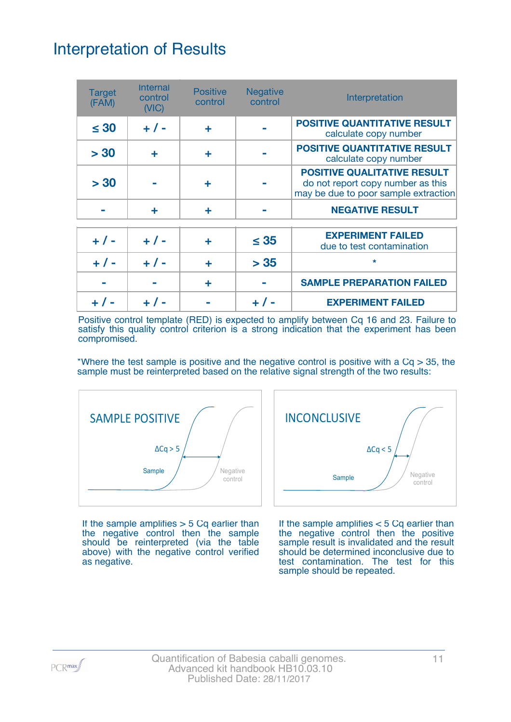## Interpretation of Results

| <b>Target</b><br>(FAM) | <b>Internal</b><br>control<br>(VIC) | <b>Positive</b><br>control | <b>Negative</b><br>control | Interpretation                                                                                                  |
|------------------------|-------------------------------------|----------------------------|----------------------------|-----------------------------------------------------------------------------------------------------------------|
| $\leq 30$              | $+ 1 -$                             | ÷                          |                            | <b>POSITIVE QUANTITATIVE RESULT</b><br>calculate copy number                                                    |
| > 30                   | ÷                                   | ÷                          |                            | <b>POSITIVE QUANTITATIVE RESULT</b><br>calculate copy number                                                    |
| > 30                   |                                     | ٠                          |                            | <b>POSITIVE QUALITATIVE RESULT</b><br>do not report copy number as this<br>may be due to poor sample extraction |
|                        | ÷                                   | ÷                          |                            | <b>NEGATIVE RESULT</b>                                                                                          |
| $+ 1 -$                | $+ 1 -$                             | ٠                          | $\leq 35$                  | <b>EXPERIMENT FAILED</b><br>due to test contamination                                                           |
| $+ 1 -$                | $+ 1 -$                             | ÷                          | > 35                       | $\star$                                                                                                         |
|                        |                                     | ÷                          |                            | <b>SAMPLE PREPARATION FAILED</b>                                                                                |
|                        |                                     |                            |                            | <b>EXPERIMENT FAILED</b>                                                                                        |

Positive control template (RED) is expected to amplify between Cq 16 and 23. Failure to satisfy this quality control criterion is a strong indication that the experiment has been compromised.

\*Where the test sample is positive and the negative control is positive with a  $Cq > 35$ , the sample must be reinterpreted based on the relative signal strength of the two results:



If the sample amplifies  $>$  5 Cq earlier than the negative control then the sample should be reinterpreted (via the table above) with the negative control verified as negative.



If the sample amplifies < 5 Cq earlier than the negative control then the positive sample result is invalidated and the result should be determined inconclusive due to test contamination. The test for this sample should be repeated.